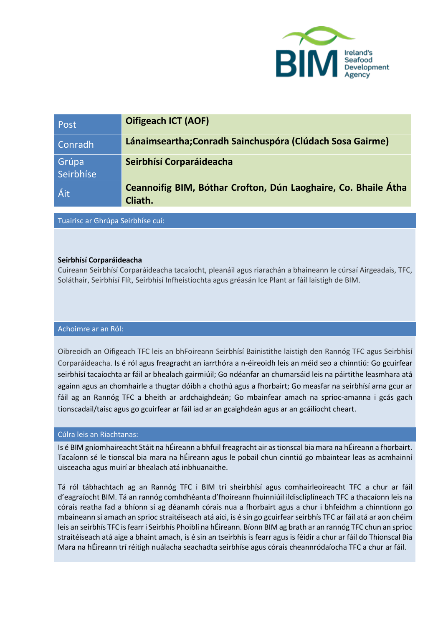

| Post               | <b>Oifigeach ICT (AOF)</b>                                                |
|--------------------|---------------------------------------------------------------------------|
| Conradh            | Lánaimseartha; Conradh Sainchus póra (Clúdach Sosa Gairme)                |
| Grúpa<br>Seirbhíse | Seirbhísí Corparáideacha                                                  |
| Áit                | Ceannoifig BIM, Bóthar Crofton, Dún Laoghaire, Co. Bhaile Átha<br>Cliath. |

Tuairisc ar Ghrúpa Seirbhíse cuí:

## **Seirbhísí Corparáideacha**

Cuireann Seirbhísí Corparáideacha tacaíocht, pleanáil agus riarachán a bhaineann le cúrsaí Airgeadais, TFC, Soláthair, Seirbhísí Flít, Seirbhísí Infheistíochta agus gréasán Ice Plant ar fáil laistigh de BIM.

#### Achoimre ar an Ról:

Oibreoidh an Oifigeach TFC leis an bhFoireann Seirbhísí Bainistithe laistigh den Rannóg TFC agus Seirbhísí Corparáideacha. Is é ról agus freagracht an iarrthóra a n-éireoidh leis an méid seo a chinntiú: Go gcuirfear seirbhísí tacaíochta ar fáil ar bhealach gairmiúil; Go ndéanfar an chumarsáid leis na páirtithe leasmhara atá againn agus an chomhairle a thugtar dóibh a chothú agus a fhorbairt; Go measfar na seirbhísí arna gcur ar fáil ag an Rannóg TFC a bheith ar ardchaighdeán; Go mbainfear amach na sprioc-amanna i gcás gach tionscadail/taisc agus go gcuirfear ar fáil iad ar an gcaighdeán agus ar an gcáilíocht cheart.

## Cúlra leis an Riachtanas:

Is é BIM gníomhaireacht Stáit na hÉireann a bhfuil freagracht air as tionscal bia mara na hÉireann a fhorbairt. Tacaíonn sé le tionscal bia mara na hÉireann agus le pobail chun cinntiú go mbaintear leas as acmhainní uisceacha agus muirí ar bhealach atá inbhuanaithe.

Tá ról tábhachtach ag an Rannóg TFC i BIM trí sheirbhísí agus comhairleoireacht TFC a chur ar fáil d'eagraíocht BIM. Tá an rannóg comhdhéanta d'fhoireann fhuinniúil ildiscliplíneach TFC a thacaíonn leis na córais reatha fad a bhíonn sí ag déanamh córais nua a fhorbairt agus a chur i bhfeidhm a chinntíonn go mbaineann sí amach an sprioc straitéiseach atá aici, is é sin go gcuirfear seirbhís TFC ar fáil atá ar aon chéim leis an seirbhís TFC is fearr i Seirbhís Phoiblí na hÉireann. Bíonn BIM ag brath ar an rannóg TFC chun an sprioc straitéiseach atá aige a bhaint amach, is é sin an tseirbhís is fearr agus is féidir a chur ar fáil do Thionscal Bia Mara na hÉireann trí réitigh nuálacha seachadta seirbhíse agus córais cheannródaíocha TFC a chur ar fáil.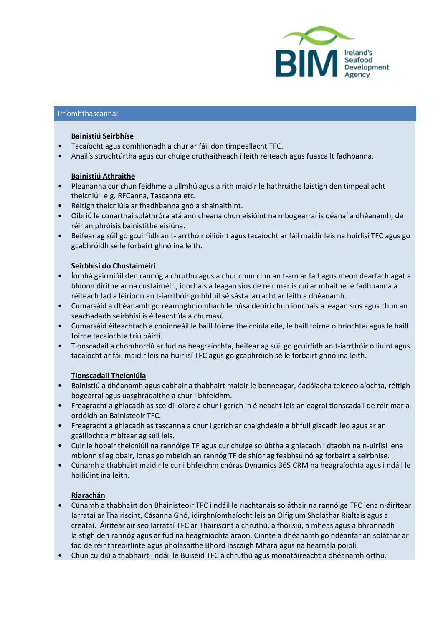

#### Príomhthascanna:

#### **Bainistiú Seirbhíse**

- Tacaíocht agus comhlíonadh a chur ar fáil don timpeallacht TFC.
- Anailís struchtúrtha agus cur chuige cruthaitheach i leith réiteach agus fuascailt fadhbanna.

## **Bainistiú Athraithe**

- Pleananna cur chun feidhme a ullmhú agus a rith maidir le hathruithe laistigh den timpeallacht theicniúil e.g. RFCanna, Tascanna etc.
- Réitigh theicniúla ar fhadhbanna gnó a shainaithint.
- Oibriú le conarthaí soláthróra atá ann cheana chun eisiúint na mbogearraí is déanaí a dhéanamh, de réir an phróisis bainistithe eisiúna.
- Beifear ag súil go gcuirfidh an t-iarrthóir oiliúint agus tacaíocht ar fáil maidir leis na huirlisí TFC agus go gcabhróidh sé le forbairt ghnó ina leith.

## **Seirbhísí do Chustaiméirí**

- Íomhá gairmiúil den rannóg a chruthú agus a chur chun cinn an t-am ar fad agus meon dearfach agat a bhíonn dírithe ar na custaiméirí, ionchais a leagan síos de réir mar is cuí ar mhaithe le fadhbanna a réiteach fad a léiríonn an t-iarrthóir go bhfuil sé sásta iarracht ar leith a dhéanamh.
- Cumarsáid a dhéanamh go réamhghníomhach le húsáideoirí chun ionchais a leagan síos agus chun an seachadadh seirbhísí is éifeachtúla a chumasú.
- Cumarsáid éifeachtach a choinneáil le baill foirne theicniúla eile, le baill foirne oibríochtaí agus le baill foirne tacaíochta tríú páirtí.
- Tionscadail a chomhordú ar fud na heagraíochta, beifear ag súil go gcuirfidh an t-iarrthóir oiliúint agus tacaíocht ar fáil maidir leis na huirlisí TFC agus go gcabhróidh sé le forbairt ghnó ina leith.

## **Tionscadail Theicniúla**

- Bainistiú a dhéanamh agus cabhair a thabhairt maidir le bonneagar, éadálacha teicneolaíochta, réitigh bogearraí agus uasghrádaithe a chur i bhfeidhm.
- Freagracht a ghlacadh as sceidil oibre a chur i gcrích in éineacht leis an eagraí tionscadail de réir mar a ordóidh an Bainisteoir TFC.
- Freagracht a ghlacadh as tascanna a chur i gcrích ar chaighdeáin a bhfuil glacadh leo agus ar an gcáilíocht a mbítear ag súil leis.
- Cuir le hobair theicniúil na rannóige TF agus cur chuige solúbtha a ghlacadh i dtaobh na n-uirlisí lena mbíonn sí ag obair, ionas go mbeidh an rannóg TF de shíor ag feabhsú nó ag forbairt a seirbhíse.
- Cúnamh a thabhairt maidir le cur i bhfeidhm chóras Dynamics 365 CRM na heagraíochta agus i ndáil le hoiliúint ina leith.

## **Riarachán**

- Cúnamh a thabhairt don Bhainisteoir TFC i ndáil le riachtanais soláthair na rannóige TFC lena n-áirítear Iarrataí ar Thairiscint, Cásanna Gnó, idirghníomhaíocht leis an Oifig um Sholáthar Rialtais agus a creataí. Áirítear air seo Iarrataí TFC ar Thairiscint a chruthú, a fhoilsiú, a mheas agus a bhronnadh laistigh den rannóg agus ar fud na heagraíochta araon. Cinnte a dhéanamh go ndéanfar an soláthar ar fad de réir threoirlínte agus pholasaithe Bhord Iascaigh Mhara agus na hearnála poiblí.
- Chun cuidiú a thabhairt i ndáil le Buiséid TFC a chruthú agus monatóireacht a dhéanamh orthu.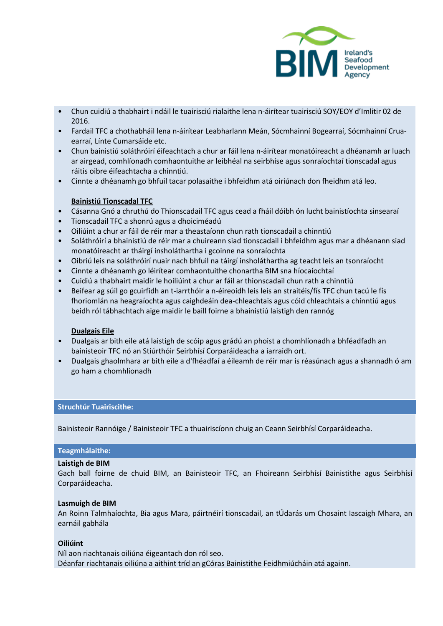

- Chun cuidiú a thabhairt i ndáil le tuairisciú rialaithe lena n-áirítear tuairisciú SOY/EOY d'Imlitir 02 de 2016.
- Fardail TFC a chothabháil lena n-áirítear Leabharlann Meán, Sócmhainní Bogearraí, Sócmhainní Cruaearraí, Línte Cumarsáide etc.
- Chun bainistiú soláthróirí éifeachtach a chur ar fáil lena n-áirítear monatóireacht a dhéanamh ar luach ar airgead, comhlíonadh comhaontuithe ar leibhéal na seirbhíse agus sonraíochtaí tionscadal agus ráitis oibre éifeachtacha a chinntiú.
- Cinnte a dhéanamh go bhfuil tacar polasaithe i bhfeidhm atá oiriúnach don fheidhm atá leo.

# **Bainistiú Tionscadal TFC**

- Cásanna Gnó a chruthú do Thionscadail TFC agus cead a fháil dóibh ón lucht bainistíochta sinsearaí
- Tionscadail TFC a shonrú agus a dhoiciméadú
- Oiliúint a chur ar fáil de réir mar a theastaíonn chun rath tionscadail a chinntiú
- Soláthróirí a bhainistiú de réir mar a chuireann siad tionscadail i bhfeidhm agus mar a dhéanann siad monatóireacht ar tháirgí insholáthartha i gcoinne na sonraíochta
- Oibriú leis na soláthróirí nuair nach bhfuil na táirgí insholáthartha ag teacht leis an tsonraíocht
- Cinnte a dhéanamh go léirítear comhaontuithe chonartha BIM sna híocaíochtaí
- Cuidiú a thabhairt maidir le hoiliúint a chur ar fáil ar thionscadail chun rath a chinntiú
- Beifear ag súil go gcuirfidh an t-iarrthóir a n-éireoidh leis leis an straitéis/fís TFC chun tacú le fís fhoriomlán na heagraíochta agus caighdeáin dea-chleachtais agus cóid chleachtais a chinntiú agus beidh ról tábhachtach aige maidir le baill foirne a bhainistiú laistigh den rannóg

## **Dualgais Eile**

- Dualgais ar bith eile atá laistigh de scóip agus grádú an phoist a chomhlíonadh a bhféadfadh an bainisteoir TFC nó an Stiúrthóir Seirbhísí Corparáideacha a iarraidh ort.
- Dualgais ghaolmhara ar bith eile a d'fhéadfaí a éileamh de réir mar is réasúnach agus a shannadh ó am go ham a chomhlíonadh

## **Struchtúr Tuairiscithe:**

Bainisteoir Rannóige / Bainisteoir TFC a thuairiscíonn chuig an Ceann Seirbhísí Corparáideacha.

## **Teagmhálaithe:**

## **Laistigh de BIM**

Gach ball foirne de chuid BIM, an Bainisteoir TFC, an Fhoireann Seirbhísí Bainistithe agus Seirbhísí Corparáideacha.

#### **Lasmuigh de BIM**

An Roinn Talmhaíochta, Bia agus Mara, páirtnéirí tionscadail, an tÚdarás um Chosaint Iascaigh Mhara, an earnáil gabhála

## **Oiliúint**

Níl aon riachtanais oiliúna éigeantach don ról seo. Déanfar riachtanais oiliúna a aithint tríd an gCóras Bainistithe Feidhmiúcháin atá againn.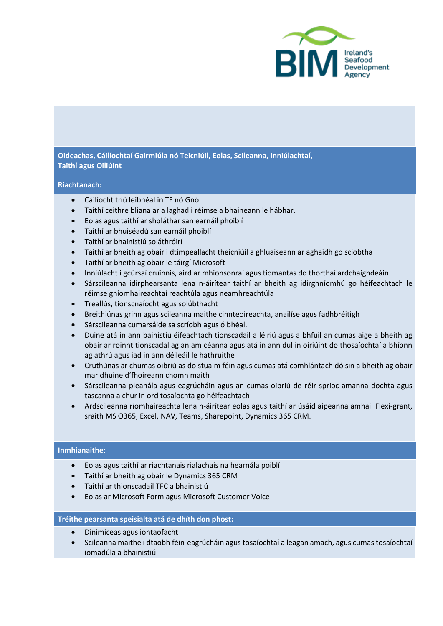

# **Oideachas, Cáilíochtaí Gairmiúla nó Teicniúil, Eolas, Scileanna, Inniúlachtaí, Taithí agus Oiliúint**

# **Riachtanach:**

- Cáilíocht tríú leibhéal in TF nó Gnó
- Taithí ceithre bliana ar a laghad i réimse a bhaineann le hábhar.
- Eolas agus taithí ar sholáthar san earnáil phoiblí
- Taithí ar bhuiséadú san earnáil phoiblí
- Taithí ar bhainistiú soláthróirí
- Taithí ar bheith ag obair i dtimpeallacht theicniúil a ghluaiseann ar aghaidh go sciobtha
- Taithí ar bheith ag obair le táirgí Microsoft
- Inniúlacht i gcúrsaí cruinnis, aird ar mhionsonraí agus tiomantas do thorthaí ardchaighdeáin
- Sárscileanna idirphearsanta lena n-áirítear taithí ar bheith ag idirghníomhú go héifeachtach le réimse gníomhaireachtaí reachtúla agus neamhreachtúla
- Treallús, tionscnaíocht agus solúbthacht
- Breithiúnas grinn agus scileanna maithe cinnteoireachta, anailíse agus fadhbréitigh
- Sárscileanna cumarsáide sa scríobh agus ó bhéal.
- Duine atá in ann bainistiú éifeachtach tionscadail a léiriú agus a bhfuil an cumas aige a bheith ag obair ar roinnt tionscadal ag an am céanna agus atá in ann dul in oiriúint do thosaíochtaí a bhíonn ag athrú agus iad in ann déileáil le hathruithe
- Cruthúnas ar chumas oibriú as do stuaim féin agus cumas atá comhlántach dó sin a bheith ag obair mar dhuine d'fhoireann chomh maith
- Sárscileanna pleanála agus eagrúcháin agus an cumas oibriú de réir sprioc-amanna dochta agus tascanna a chur in ord tosaíochta go héifeachtach
- Ardscileanna ríomhaireachta lena n-áirítear eolas agus taithí ar úsáid aipeanna amhail Flexi-grant, sraith MS O365, Excel, NAV, Teams, Sharepoint, Dynamics 365 CRM.

## **Inmhianaithe:**

- Eolas agus taithí ar riachtanais rialachais na hearnála poiblí
- Taithí ar bheith ag obair le Dynamics 365 CRM
- Taithí ar thionscadail TFC a bhainistiú
- Eolas ar Microsoft Form agus Microsoft Customer Voice

## **Tréithe pearsanta speisialta atá de dhíth don phost:**

- Dinimiceas agus iontaofacht
- Scileanna maithe i dtaobh féin-eagrúcháin agus tosaíochtaí a leagan amach, agus cumas tosaíochtaí iomadúla a bhainistiú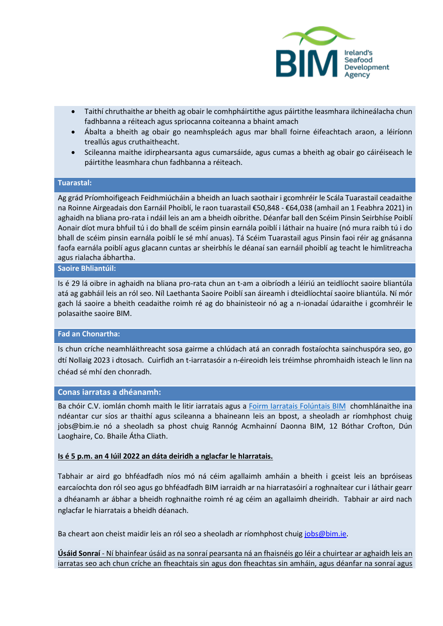

- Taithí chruthaithe ar bheith ag obair le comhpháirtithe agus páirtithe leasmhara ilchineálacha chun fadhbanna a réiteach agus spriocanna coiteanna a bhaint amach
- Ábalta a bheith ag obair go neamhspleách agus mar bhall foirne éifeachtach araon, a léiríonn treallús agus cruthaitheacht.
- Scileanna maithe idirphearsanta agus cumarsáide, agus cumas a bheith ag obair go cáiréiseach le páirtithe leasmhara chun fadhbanna a réiteach.

# **Tuarastal:**

Ag grád Príomhoifigeach Feidhmiúcháin a bheidh an luach saothair i gcomhréir le Scála Tuarastail ceadaithe na Roinne Airgeadais don Earnáil Phoiblí, le raon tuarastail €50,848 - €64,038 (amhail an 1 Feabhra 2021) in aghaidh na bliana pro-rata i ndáil leis an am a bheidh oibrithe. Déanfar ball den Scéim Pinsin Seirbhíse Poiblí Aonair díot mura bhfuil tú i do bhall de scéim pinsin earnála poiblí i láthair na huaire (nó mura raibh tú i do bhall de scéim pinsin earnála poiblí le sé mhí anuas). Tá Scéim Tuarastail agus Pinsin faoi réir ag gnásanna faofa earnála poiblí agus glacann cuntas ar sheirbhís le déanaí san earnáil phoiblí ag teacht le himlitreacha agus rialacha ábhartha.

#### **Saoire Bhliantúil:**

Is é 29 lá oibre in aghaidh na bliana pro-rata chun an t-am a oibríodh a léiriú an teidlíocht saoire bliantúla atá ag gabháil leis an ról seo. Níl Laethanta Saoire Poiblí san áireamh i dteidlíochtaí saoire bliantúla. Ní mór gach lá saoire a bheith ceadaithe roimh ré ag do bhainisteoir nó ag a n-ionadaí údaraithe i gcomhréir le polasaithe saoire BIM.

#### **Fad an Chonartha:**

Is chun críche neamhláithreacht sosa gairme a chlúdach atá an conradh fostaíochta sainchuspóra seo, go dtí Nollaig 2023 i dtosach. Cuirfidh an t-iarratasóir a n-éireoidh leis tréimhse phromhaidh isteach le linn na chéad sé mhí den chonradh.

#### **Conas iarratas a dhéanamh:**

Ba chóir C.V. iomlán chomh maith le litir iarratais agus a [Foirm Iarratais Folúntais BIM](https://bim.ie/wp-content/uploads/2021/11/FoirmIarrataisFoluntaisBIM.docx) chomhlánaithe ina ndéantar cur síos ar thaithí agus scileanna a bhaineann leis an bpost, a sheoladh ar ríomhphost chuig [jobs@bim.ie](mailto:jobs@bim.ie) nó a sheoladh sa phost chuig Rannóg Acmhainní Daonna BIM, 12 Bóthar Crofton, Dún Laoghaire, Co. Bhaile Átha Cliath.

#### **Is é 5 p.m. an 4 Iúil 2022 an dáta deiridh a nglacfar le hIarratais.**

Tabhair ar aird go bhféadfadh níos mó ná céim agallaimh amháin a bheith i gceist leis an bpróiseas earcaíochta don ról seo agus go bhféadfadh BIM iarraidh ar na hiarratasóirí a roghnaítear cur i láthair gearr a dhéanamh ar ábhar a bheidh roghnaithe roimh ré ag céim an agallaimh dheiridh. Tabhair ar aird nach nglacfar le hiarratais a bheidh déanach.

Ba cheart aon cheist maidir leis an ról seo a sheoladh ar ríomhphost chuig [jobs@bim.ie.](mailto:jobs@bim.ie)

**Úsáid Sonraí** - Ní bhainfear úsáid as na sonraí pearsanta ná an fhaisnéis go léir a chuirtear ar aghaidh leis an iarratas seo ach chun críche an fheachtais sin agus don fheachtas sin amháin, agus déanfar na sonraí agus